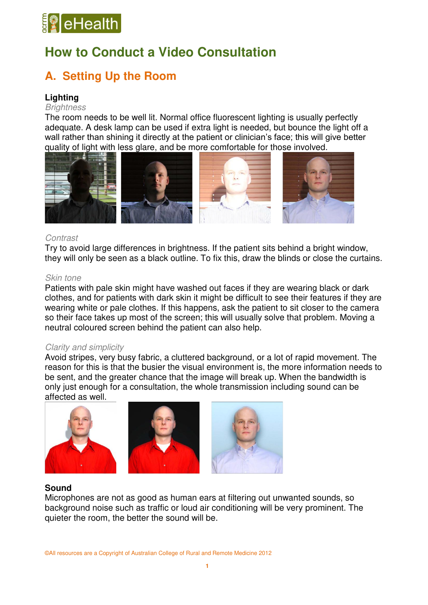# **B**eHealth

## **How to Conduct a Video Consultation**

## **A. Setting Up the Room**

## **Lighting**

### *Brightness*

The room needs to be well lit. Normal office fluorescent lighting is usually perfectly adequate. A desk lamp can be used if extra light is needed, but bounce the light off a wall rather than shining it directly at the patient or clinician's face; this will give better quality of light with less glare, and be more comfortable for those involved.



## *Contrast*

Try to avoid large differences in brightness. If the patient sits behind a bright window, they will only be seen as a black outline. To fix this, draw the blinds or close the curtains.

## *Skin tone*

Patients with pale skin might have washed out faces if they are wearing black or dark clothes, and for patients with dark skin it might be difficult to see their features if they are wearing white or pale clothes. If this happens, ask the patient to sit closer to the camera so their face takes up most of the screen; this will usually solve that problem. Moving a neutral coloured screen behind the patient can also help.

## *Clarity and simplicity*

Avoid stripes, very busy fabric, a cluttered background, or a lot of rapid movement. The reason for this is that the busier the visual environment is, the more information needs to be sent, and the greater chance that the image will break up. When the bandwidth is only just enough for a consultation, the whole transmission including sound can be affected as well.



## **Sound**

Microphones are not as good as human ears at filtering out unwanted sounds, so background noise such as traffic or loud air conditioning will be very prominent. The quieter the room, the better the sound will be.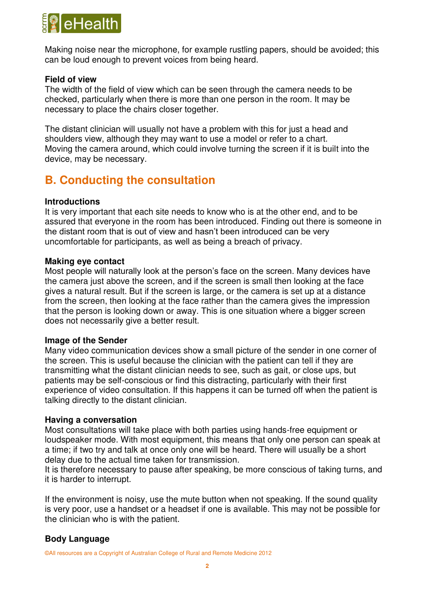

Making noise near the microphone, for example rustling papers, should be avoided; this can be loud enough to prevent voices from being heard.

## **Field of view**

The width of the field of view which can be seen through the camera needs to be checked, particularly when there is more than one person in the room. It may be necessary to place the chairs closer together.

The distant clinician will usually not have a problem with this for just a head and shoulders view, although they may want to use a model or refer to a chart. Moving the camera around, which could involve turning the screen if it is built into the device, may be necessary.

## **B. Conducting the consultation**

## **Introductions**

It is very important that each site needs to know who is at the other end, and to be assured that everyone in the room has been introduced. Finding out there is someone in the distant room that is out of view and hasn't been introduced can be very uncomfortable for participants, as well as being a breach of privacy.

## **Making eye contact**

Most people will naturally look at the person's face on the screen. Many devices have the camera just above the screen, and if the screen is small then looking at the face gives a natural result. But if the screen is large, or the camera is set up at a distance from the screen, then looking at the face rather than the camera gives the impression that the person is looking down or away. This is one situation where a bigger screen does not necessarily give a better result.

### **Image of the Sender**

Many video communication devices show a small picture of the sender in one corner of the screen. This is useful because the clinician with the patient can tell if they are transmitting what the distant clinician needs to see, such as gait, or close ups, but patients may be self-conscious or find this distracting, particularly with their first experience of video consultation. If this happens it can be turned off when the patient is talking directly to the distant clinician.

### **Having a conversation**

Most consultations will take place with both parties using hands-free equipment or loudspeaker mode. With most equipment, this means that only one person can speak at a time; if two try and talk at once only one will be heard. There will usually be a short delay due to the actual time taken for transmission.

It is therefore necessary to pause after speaking, be more conscious of taking turns, and it is harder to interrupt.

If the environment is noisy, use the mute button when not speaking. If the sound quality is very poor, use a handset or a headset if one is available. This may not be possible for the clinician who is with the patient.

## **Body Language**

©All resources are a Copyright of Australian College of Rural and Remote Medicine 2012